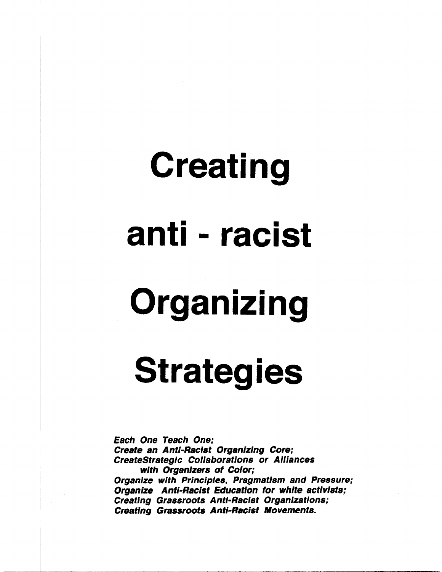# Creating anti - racist Organizing

## **Strategies**

Each One Teach One; Create an Anti-Racist Organizing Core; CreateStrategic Collaborations or Alliances with Organizers of Color; Organize with Principles, Pragmatism and Pressure; Organize Anti-Racist Education for white activists; Creating Grassroots Anti-Racist Organizations; Creating Grassroots Anti-Racist Movements.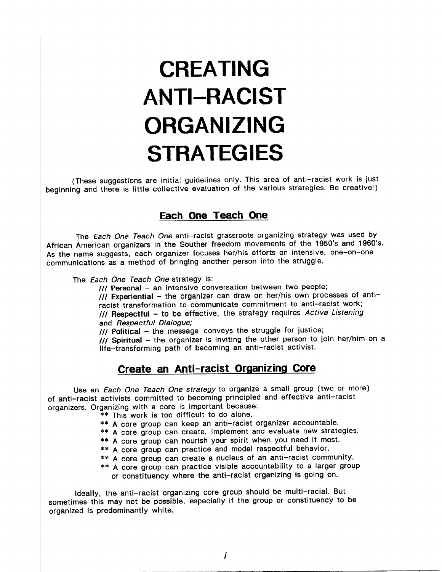### CREATING **ANTI-RACIST** ORGANIZING **STRATEGIES**

(These suggestions are initial guidelines only. This area of anti-racist work is just beginning and there is little collective evaluation of the various strategies. Be creative!)

#### Each One Teach One

The Each One Teach One anti-racist grassroots organizing strategy was used by African American organizers in the Souther freedom movements of the 1950's and 1960's. As the name suggests, each organizer focuses her/his efforts on intensive, one-on-one communications as a method of bringing another person into the struggle.

The Each One Teach One strategy is:

III Personal - an intensive conversation between two people;

III Experiential - the organizer can draw on her/his own processes of antiracist transformation to communicate commitment to anti-racist work; III Respectful - to be effective, the strategy requires Active Listening and Respectful Dialogue;

/// Political - the message conveys the struggle for justice;

III Spiritual - the organizer is inviting the other person to join her/him on a life-transforming path of becoming an anti-racist activist.

#### Create an Anti-racist Organizing Core

Use an Each One Teach One strategy to organize a small group (two or more) of anti-racist activists committed to becoming principled and effective anti-racist organizers. Organizing with a core is important because:

- \*\* This work is too difficult to do alone.
- \*\* A core group can keep an anti-racist organizer accountable.
- \*\* A core group can create, implement and evaluate new strategies.
- \*\* A core group can nourish your spirit when you need it most.
- \*\* A core group can practice and model respectful behavior.
- \*\* A core group can create a nucleus of an anti-racist community.
- \*\* A core group can practice visible accountability to a larger group or constituency where the anti-racist organizing is going on.

Ideally, the anti-racist organizing core group should be multi-racial. But sometimes this may not be possible, especially if the group or constituency to be organized is predominantly white.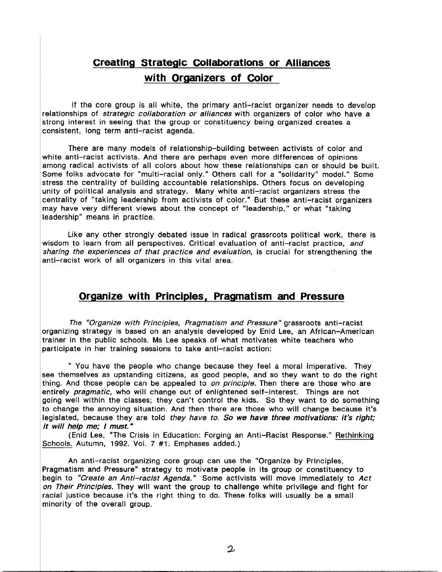#### Creating Strategic Collaborations or Alliances with Organizers of Color

If the core group is all white, the primary anti-racist organizer needs to develop relationships of strategic collaboration or alliances with organizers of color who have a strong interest in seeing that the group or constituency being organized creates a consistent, long term anti-racist agenda.

There are many models of relationship-building between activists of color and white anti-racist activists. And there are perhaps even more differences of opinions among radical activists of all colors about how these relationships can or should be built. Some folks advocate for "multi-racial only." Others call for a "solidarity" model." Some stress the centrality of building accountable relationships. Others focus on developing unity of political analysis and strategy. Many white anti-racist organizers stress the centrality of "taking leadership from activists of color." But these anti-racist organizers may have very different views about the concept of "leadership." or what "taking leadership" means in practice.

Like any other strongly debated issue in radical grassroots political work, there is wisdom to learn from all perspectives. Critical evaluation of anti-racist practice, and sharing the experiences of that practice and evaluation, is crucial for strengthening the anti-racist work of all organizers in this vital area.

#### Organize with Principles, Pragmatism and Pressure

The "Organize with Principles, Pragmatism and Pressure" grassroots anti-racist organizing strategy is based on an analysis developed by Enid Lee, an African-American trainer in the public schools. Ms Lee speaks of what motivates white teachers who participate in her training sessions to take anti-racist action:

" You have the people who change because they feel a moral imperative. They see themselves as upstanding citizens, as good people, and so they want to do the right thing. And those people can be appealed to *on principle*. Then there are those who are entirely pragmatic, who will change out of enlightened self-interest. Things are not going well within the classes; they can't control the kids. So they want to do something to change the annoying situation. And then there are those who will change because it's legislated, because they are told they have to. So we have three motivations: it's right; it will help me; I must."

(Enid Lee, "The Crisis in Education: Forging an Anti-Racist Response." Rethinking Schools. Autumn, 1992. Vol. 7 #1. Emphases added.)

An anti-racist organizing core group can use the "Organize by Principles, Pragmatism and Pressure" strategy to motivate people in its group or constituency to begin to "Create an Anti-racist Agenda." Some activists will move immediately to Act on Their Principles. They will want the group to challenge white privilege and fight for racial justice because it's the right thing to do. These folks will usually be a small minority of the overall group.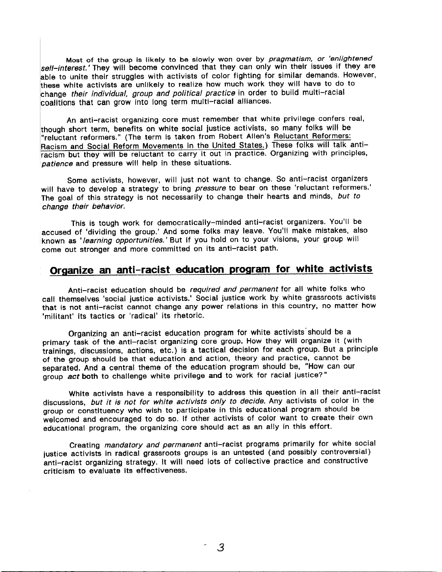Most of the group is likely to be slowly won over by *pragmatism, or 'enlightened* sell-interest.' They will become convinced that they can only win their issues if they are able to unite their struggles with activists of color fighting for similar demands. However, these white activists are unlikely to realize how much work they will have to do to change their individual, group and political practice in order to build multi-racial coalitions that can grow into long term multi-racial alliances.

An anti-racist organizing core must remember that white privilege confers real, though short term, benefits on white social justice activists, so many folks will be "reluctant reformers." (The term is taken from Robert Allen's Reluctant Reformers: Racism and Social Reform Movements in the United States.) These folks will talk antiracism but they will be reluctant to carry it out in practice. Organizing with principles, patience and pressure will help in these situations.

Some activists, however, will just not want to change. So anti-racist organizers will have to develop a strategy to bring pressure to bear on these 'reluctant reformers.' The goal of this strategy is not necessarily to change their hearts and minds, but to change their behavior.

This is tough work for democratically-minded anti-racist organizers. You'll be accused of 'dividing the group.' And some folks may leave. You'll make mistakes, also known as 'learning opportunities.' But if you hold on to your visions, your group will come out stronger and more committed on its anti-racist path.

#### Organize an anti-racist education program for white activists

Anti-racist education should be required and permanent for all white folks who call themselves 'social justice activists.' Social justice work by white grassroots activists that is not anti-racist cannot change any power relations in this country, no matter how 'militant' its tactics or 'radical' its rhetoric.

Organizing an anti-racist education program for white activists should be a primary task of the anti-racist organizing core group. How they will organize it (with trainings, discussions, actions, etc.) is a tactical decision for each group. But a principle of the group should be that education and action, theory and practice, cannot be separated. And a central theme of the education program should be, "How can our group act both to challenge white privilege and to work for racial justice?"

White activists have a responsibility to address this question in all their anti-racist discussions, but it is not for white activists only to decide. Any activists of color in the group or constituency who wish to participate in this educational program should be welcomed and encouraged to do so. If other activists of color want to create their own educational program, the organizing core should act as an ally in this effort.

Creating mandatory and permanent anti-racist programs primarily for white social justice activists in radical grassroots groups is an untested (and possibly controversial) anti-racist organizing strategy. It will need lots of collective practice and constructive criticism to evaluate its effectiveness.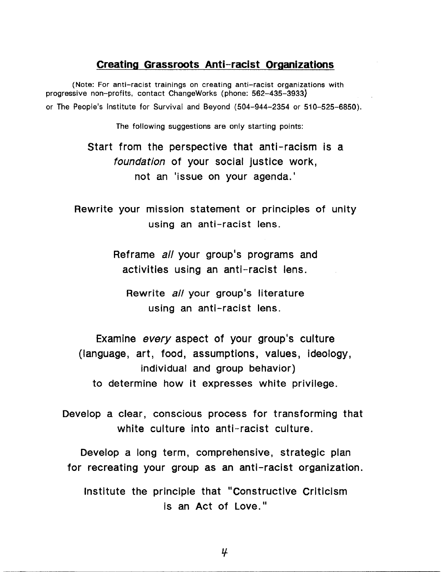#### Creating Grassroots Anti-racist Organizations

(Note: For anti-racist trainings on creating anti-racist organizations with progressive non-profits, contact ChangeWorks (phone: 562-435-3933) or The People's Institute for Survival and Beyond (504-944-2354 or 510-525-6850).

The following suggestions are only starting points:

Start from the perspective that anti-racism is a foundation of your social justice work, not an 'issue on your agenda.'

Rewrite your mission statement or principles of unity using an anti-racist lens.

> Reframe all your group's programs and activities using an anti-racist lens.

Rewrite all your group's literature using an anti-racist lens.

Examine every aspect of your group's culture (language, art, food, assumptions, values, ideology, individual and group behavior) to determine how it expresses white privilege.

Develop a clear, conscious process for transforming that white culture into anti-racist culture.

Develop a long term, comprehensive, strategic plan for recreating your group as an anti-racist organization.

Institute the principle that "Constructive Criticism" is an Act of Love."

 $\boldsymbol{\mu}$